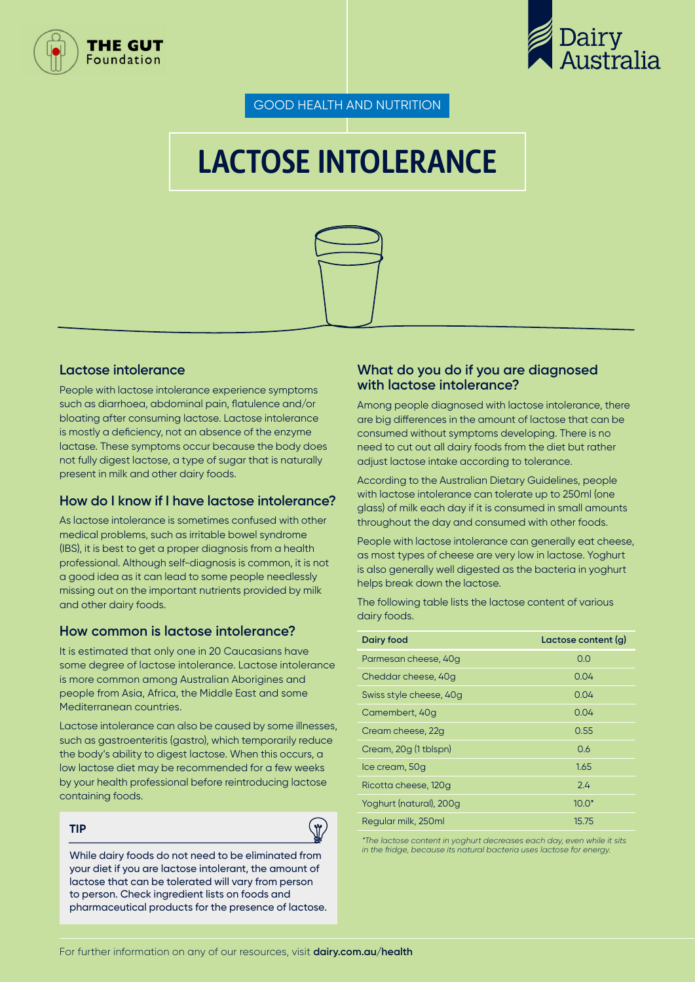



GOOD HEALTH AND NUTRITION

# LACTOSE INTOLERANCE



#### **Lactose intolerance**

People with lactose intolerance experience symptoms such as diarrhoea, abdominal pain, flatulence and/or bloating after consuming lactose. Lactose intolerance is mostly a deficiency, not an absence of the enzyme lactase. These symptoms occur because the body does not fully digest lactose, a type of sugar that is naturally present in milk and other dairy foods.

#### **How do I know if I have lactose intolerance?**

As lactose intolerance is sometimes confused with other medical problems, such as irritable bowel syndrome (IBS), it is best to get a proper diagnosis from a health professional. Although self-diagnosis is common, it is not a good idea as it can lead to some people needlessly missing out on the important nutrients provided by milk and other dairy foods.

#### **How common is lactose intolerance?**

It is estimated that only one in 20 Caucasians have some degree of lactose intolerance. Lactose intolerance is more common among Australian Aborigines and people from Asia, Africa, the Middle East and some Mediterranean countries.

Lactose intolerance can also be caused by some illnesses, such as gastroenteritis (gastro), which temporarily reduce the body's ability to digest lactose. When this occurs, a low lactose diet may be recommended for a few weeks by your health professional before reintroducing lactose containing foods.

#### **TIP**



While dairy foods do not need to be eliminated from your diet if you are lactose intolerant, the amount of lactose that can be tolerated will vary from person to person. Check ingredient lists on foods and pharmaceutical products for the presence of lactose.

#### **What do you do if you are diagnosed with lactose intolerance?**

Among people diagnosed with lactose intolerance, there are big differences in the amount of lactose that can be consumed without symptoms developing. There is no need to cut out all dairy foods from the diet but rather adjust lactose intake according to tolerance.

According to the Australian Dietary Guidelines, people with lactose intolerance can tolerate up to 250ml (one glass) of milk each day if it is consumed in small amounts throughout the day and consumed with other foods.

People with lactose intolerance can generally eat cheese, as most types of cheese are very low in lactose. Yoghurt is also generally well digested as the bacteria in yoghurt helps break down the lactose.

The following table lists the lactose content of various dairy foods.

| Dairy food              | Lactose content (q) |
|-------------------------|---------------------|
| Parmesan cheese, 40q    | 0.0                 |
| Cheddar cheese, 40q     | 0.04                |
| Swiss style cheese, 40q | 0.04                |
| Camembert, 40g          | 0.04                |
| Cream cheese, 22q       | 0.55                |
| Cream, 20g (1 tblspn)   | 0.6                 |
| Ice cream, 50g          | 1.65                |
| Ricotta cheese, 120q    | 2.4                 |
| Yoghurt (natural), 200g | $10.0*$             |
| Regular milk, 250ml     | 15.75               |

*\*The lactose content in yoghurt decreases each day, even while it sits in the fridge, because its natural bacteria uses lactose for energy.*